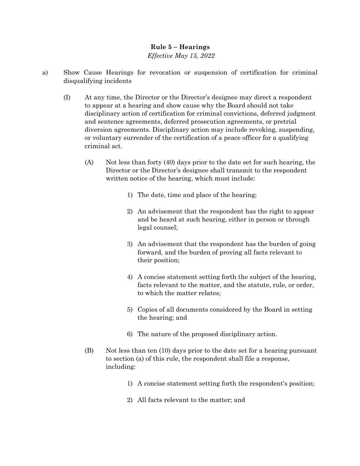## **Rule 5 – Hearings**  *Effective May 15, 2022*

- a) Show Cause Hearings for revocation or suspension of certification for criminal disqualifying incidents
	- (I) At any time, the Director or the Director's designee may direct a respondent to appear at a hearing and show cause why the Board should not take disciplinary action of certification for criminal convictions, deferred judgment and sentence agreements, deferred prosecution agreements, or pretrial diversion agreements. Disciplinary action may include revoking, suspending, or voluntary surrender of the certification of a peace officer for a qualifying criminal act.
		- (A) Not less than forty (40) days prior to the date set for such hearing, the Director or the Director's designee shall transmit to the respondent written notice of the hearing, which must include:
			- 1) The date, time and place of the hearing;
			- 2) An advisement that the respondent has the right to appear and be heard at such hearing, either in person or through legal counsel;
			- 3) An advisement that the respondent has the burden of going forward, and the burden of proving all facts relevant to their position;
			- 4) A concise statement setting forth the subject of the hearing, facts relevant to the matter, and the statute, rule, or order, to which the matter relates;
			- 5) Copies of all documents considered by the Board in setting the hearing; and
			- 6) The nature of the proposed disciplinary action.
		- (B) Not less than ten (10) days prior to the date set for a hearing pursuant to section (a) of this rule, the respondent shall file a response, including:
			- 1) A concise statement setting forth the respondent's position;
			- 2) All facts relevant to the matter; and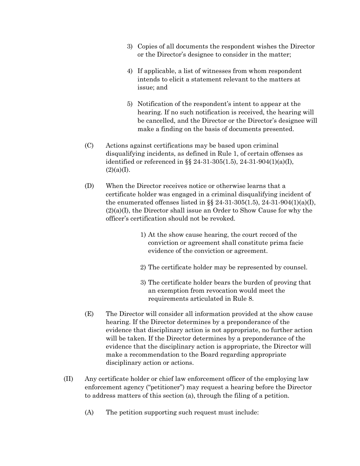- 3) Copies of all documents the respondent wishes the Director or the Director's designee to consider in the matter;
- 4) If applicable, a list of witnesses from whom respondent intends to elicit a statement relevant to the matters at issue; and
- 5) Notification of the respondent's intent to appear at the hearing. If no such notification is received, the hearing will be cancelled, and the Director or the Director's designee will make a finding on the basis of documents presented.
- (C) Actions against certifications may be based upon criminal disqualifying incidents, as defined in Rule 1, of certain offenses as identified or referenced in §§ 24-31-305(1.5), 24-31-904(1)(a)(I),  $(2)(a)(I).$
- (D) When the Director receives notice or otherwise learns that a certificate holder was engaged in a criminal disqualifying incident of the enumerated offenses listed in  $\S$  24-31-305(1.5), 24-31-904(1)(a)(I), (2)(a)(I), the Director shall issue an Order to Show Cause for why the officer's certification should not be revoked.
	- 1) At the show cause hearing, the court record of the conviction or agreement shall constitute prima facie evidence of the conviction or agreement.
	- 2) The certificate holder may be represented by counsel.
	- 3) The certificate holder bears the burden of proving that an exemption from revocation would meet the requirements articulated in Rule 8.
- (E) The Director will consider all information provided at the show cause hearing. If the Director determines by a preponderance of the evidence that disciplinary action is not appropriate, no further action will be taken. If the Director determines by a preponderance of the evidence that the disciplinary action is appropriate, the Director will make a recommendation to the Board regarding appropriate disciplinary action or actions.
- (II) Any certificate holder or chief law enforcement officer of the employing law enforcement agency ("petitioner") may request a hearing before the Director to address matters of this section (a), through the filing of a petition.
	- (A) The petition supporting such request must include: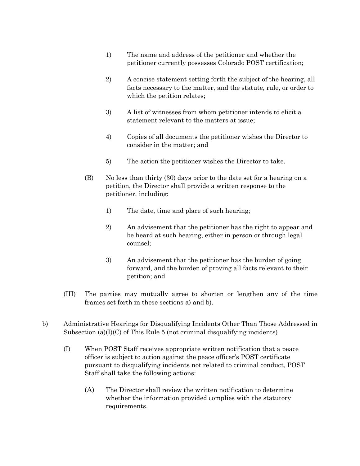- 1) The name and address of the petitioner and whether the petitioner currently possesses Colorado POST certification;
- 2) A concise statement setting forth the subject of the hearing, all facts necessary to the matter, and the statute, rule, or order to which the petition relates;
- 3) A list of witnesses from whom petitioner intends to elicit a statement relevant to the matters at issue;
- 4) Copies of all documents the petitioner wishes the Director to consider in the matter; and
- 5) The action the petitioner wishes the Director to take.
- (B) No less than thirty (30) days prior to the date set for a hearing on a petition, the Director shall provide a written response to the petitioner, including:
	- 1) The date, time and place of such hearing;
	- 2) An advisement that the petitioner has the right to appear and be heard at such hearing, either in person or through legal counsel;
	- 3) An advisement that the petitioner has the burden of going forward, and the burden of proving all facts relevant to their petition; and
- (III) The parties may mutually agree to shorten or lengthen any of the time frames set forth in these sections a) and b).
- b) Administrative Hearings for Disqualifying Incidents Other Than Those Addressed in Subsection (a) $(I)(C)$  of This Rule 5 (not criminal disqualifying incidents)
	- (I) When POST Staff receives appropriate written notification that a peace officer is subject to action against the peace officer's POST certificate pursuant to disqualifying incidents not related to criminal conduct, POST Staff shall take the following actions:
		- (A) The Director shall review the written notification to determine whether the information provided complies with the statutory requirements.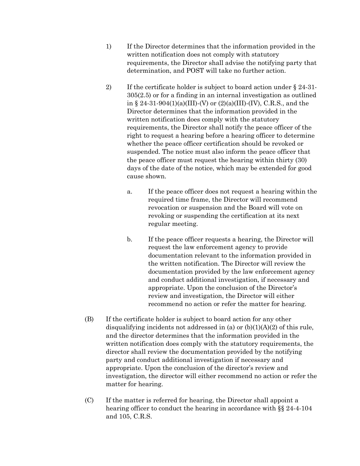- 1) If the Director determines that the information provided in the written notification does not comply with statutory requirements, the Director shall advise the notifying party that determination, and POST will take no further action.
- 2) If the certificate holder is subject to board action under § 24-31- 305(2.5) or for a finding in an internal investigation as outlined in § 24-31-904(1)(a)(III)-(V) or  $(2)(a)$ (III)-(IV), C.R.S., and the Director determines that the information provided in the written notification does comply with the statutory requirements, the Director shall notify the peace officer of the right to request a hearing before a hearing officer to determine whether the peace officer certification should be revoked or suspended. The notice must also inform the peace officer that the peace officer must request the hearing within thirty (30) days of the date of the notice, which may be extended for good cause shown.
	- a. If the peace officer does not request a hearing within the required time frame, the Director will recommend revocation or suspension and the Board will vote on revoking or suspending the certification at its next regular meeting.
	- b. If the peace officer requests a hearing, the Director will request the law enforcement agency to provide documentation relevant to the information provided in the written notification. The Director will review the documentation provided by the law enforcement agency and conduct additional investigation, if necessary and appropriate. Upon the conclusion of the Director's review and investigation, the Director will either recommend no action or refer the matter for hearing.
- (B) If the certificate holder is subject to board action for any other disqualifying incidents not addressed in (a) or  $(b)(1)(A)(2)$  of this rule, and the director determines that the information provided in the written notification does comply with the statutory requirements, the director shall review the documentation provided by the notifying party and conduct additional investigation if necessary and appropriate. Upon the conclusion of the director's review and investigation, the director will either recommend no action or refer the matter for hearing.
- (C) If the matter is referred for hearing, the Director shall appoint a hearing officer to conduct the hearing in accordance with §§ 24-4-104 and 105, C.R.S.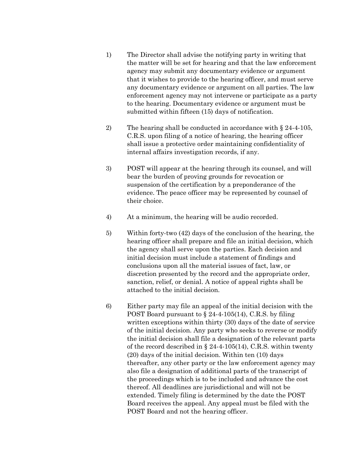- 1) The Director shall advise the notifying party in writing that the matter will be set for hearing and that the law enforcement agency may submit any documentary evidence or argument that it wishes to provide to the hearing officer, and must serve any documentary evidence or argument on all parties. The law enforcement agency may not intervene or participate as a party to the hearing. Documentary evidence or argument must be submitted within fifteen (15) days of notification.
- 2) The hearing shall be conducted in accordance with § 24-4-105, C.R.S. upon filing of a notice of hearing, the hearing officer shall issue a protective order maintaining confidentiality of internal affairs investigation records, if any.
- 3) POST will appear at the hearing through its counsel, and will bear the burden of proving grounds for revocation or suspension of the certification by a preponderance of the evidence. The peace officer may be represented by counsel of their choice.
- 4) At a minimum, the hearing will be audio recorded.
- 5) Within forty-two (42) days of the conclusion of the hearing, the hearing officer shall prepare and file an initial decision, which the agency shall serve upon the parties. Each decision and initial decision must include a statement of findings and conclusions upon all the material issues of fact, law, or discretion presented by the record and the appropriate order, sanction, relief, or denial. A notice of appeal rights shall be attached to the initial decision.
- 6) Either party may file an appeal of the initial decision with the POST Board pursuant to § 24-4-105(14), C.R.S. by filing written exceptions within thirty (30) days of the date of service of the initial decision. Any party who seeks to reverse or modify the initial decision shall file a designation of the relevant parts of the record described in § 24-4-105(14), C.R.S. within twenty (20) days of the initial decision. Within ten (10) days thereafter, any other party or the law enforcement agency may also file a designation of additional parts of the transcript of the proceedings which is to be included and advance the cost thereof. All deadlines are jurisdictional and will not be extended. Timely filing is determined by the date the POST Board receives the appeal. Any appeal must be filed with the POST Board and not the hearing officer.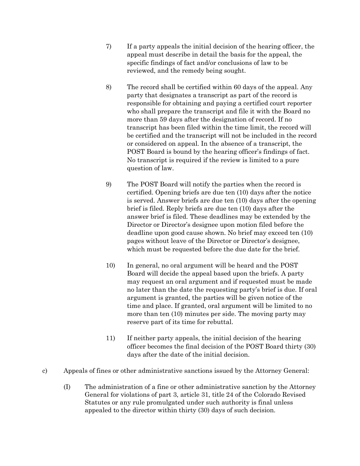- 7) If a party appeals the initial decision of the hearing officer, the appeal must describe in detail the basis for the appeal, the specific findings of fact and/or conclusions of law to be reviewed, and the remedy being sought.
- 8) The record shall be certified within 60 days of the appeal. Any party that designates a transcript as part of the record is responsible for obtaining and paying a certified court reporter who shall prepare the transcript and file it with the Board no more than 59 days after the designation of record. If no transcript has been filed within the time limit, the record will be certified and the transcript will not be included in the record or considered on appeal. In the absence of a transcript, the POST Board is bound by the hearing officer's findings of fact. No transcript is required if the review is limited to a pure question of law.
- 9) The POST Board will notify the parties when the record is certified. Opening briefs are due ten (10) days after the notice is served. Answer briefs are due ten (10) days after the opening brief is filed. Reply briefs are due ten (10) days after the answer brief is filed. These deadlines may be extended by the Director or Director's designee upon motion filed before the deadline upon good cause shown. No brief may exceed ten (10) pages without leave of the Director or Director's designee, which must be requested before the due date for the brief.
- 10) In general, no oral argument will be heard and the POST Board will decide the appeal based upon the briefs. A party may request an oral argument and if requested must be made no later than the date the requesting party's brief is due. If oral argument is granted, the parties will be given notice of the time and place. If granted, oral argument will be limited to no more than ten (10) minutes per side. The moving party may reserve part of its time for rebuttal.
- 11) If neither party appeals, the initial decision of the hearing officer becomes the final decision of the POST Board thirty (30) days after the date of the initial decision.
- c) Appeals of fines or other administrative sanctions issued by the Attorney General:
	- (I) The administration of a fine or other administrative sanction by the Attorney General for violations of part 3, article 31, title 24 of the Colorado Revised Statutes or any rule promulgated under such authority is final unless appealed to the director within thirty (30) days of such decision.